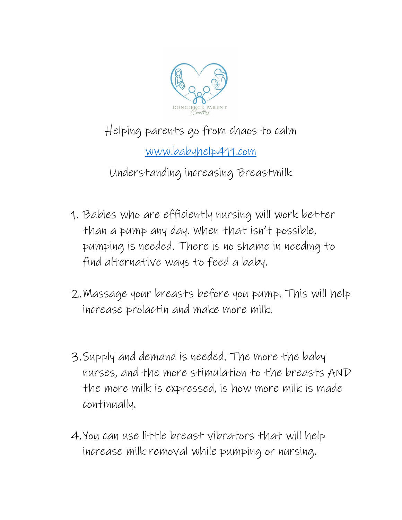

## Helping parents go from chaos to calm

[www.babyhelp411.com](http://www.babyhelp411.com/)

Understanding increasing Breastmilk

- 1. Babies who are efficiently nursing will work better than a pump any day. When that isn't possible, pumping is needed. There is no shame in needing to find alternative ways to feed a baby.
- 2.Massage your breasts before you pump. This will help increase prolactin and make more milk.
- 3.Supply and demand is needed. The more the baby nurses, and the more stimulation to the breasts AND the more milk is expressed, is how more milk is made continually.
- 4.You can use little breast vibrators that will help increase milk removal while pumping or nursing.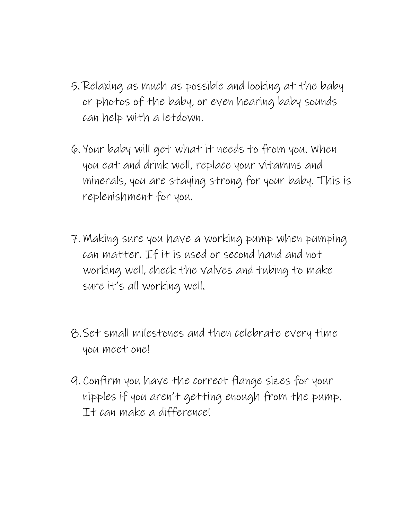- 5. Relaxing as much as possible and looking at the baby or photos of the baby, or even hearing baby sounds can help with a letdown.
- 6. Your baby will get what it needs to from you. When you eat and drink well, replace your vitamins and minerals, you are staying strong for your baby. This is replenishment for you.
- 7. Making sure you have a working pump when pumping can matter. If it is used or second hand and not working well, check the valves and tubing to make sure it's all working well.
- 8.Set small milestones and then celebrate every time you meet one!
- 9. Confirm you have the correct flange sizes for your nipples if you aren't getting enough from the pump. It can make a difference!